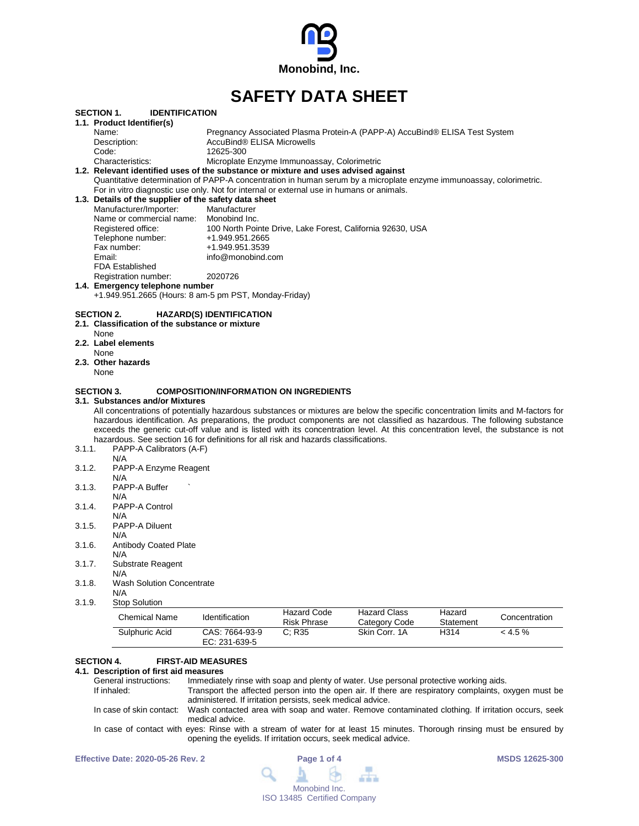

# **SAFETY DATA SHEET**

|        |                                                                                                                                                                                                                        | <b>IDENTIFICATION</b>                         |                                             |                                                                            |           |               |
|--------|------------------------------------------------------------------------------------------------------------------------------------------------------------------------------------------------------------------------|-----------------------------------------------|---------------------------------------------|----------------------------------------------------------------------------|-----------|---------------|
|        | <b>SECTION 1.</b><br>1.1. Product Identifier(s)                                                                                                                                                                        |                                               |                                             |                                                                            |           |               |
|        | Name:                                                                                                                                                                                                                  |                                               |                                             | Pregnancy Associated Plasma Protein-A (PAPP-A) AccuBind® ELISA Test System |           |               |
|        | Description:                                                                                                                                                                                                           | AccuBind® ELISA Microwells                    |                                             |                                                                            |           |               |
|        | Code:                                                                                                                                                                                                                  | 12625-300                                     |                                             |                                                                            |           |               |
|        | Characteristics:                                                                                                                                                                                                       |                                               | Microplate Enzyme Immunoassay, Colorimetric |                                                                            |           |               |
|        | 1.2. Relevant identified uses of the substance or mixture and uses advised against                                                                                                                                     |                                               |                                             |                                                                            |           |               |
|        | Quantitative determination of PAPP-A concentration in human serum by a microplate enzyme immunoassay, colorimetric.<br>For in vitro diagnostic use only. Not for internal or external use in humans or animals.        |                                               |                                             |                                                                            |           |               |
|        | 1.3. Details of the supplier of the safety data sheet                                                                                                                                                                  |                                               |                                             |                                                                            |           |               |
|        | Manufacturer/Importer:                                                                                                                                                                                                 | Manufacturer                                  |                                             |                                                                            |           |               |
|        | Name or commercial name:                                                                                                                                                                                               | Monobind Inc.                                 |                                             |                                                                            |           |               |
|        | Registered office:                                                                                                                                                                                                     |                                               |                                             | 100 North Pointe Drive, Lake Forest, California 92630, USA                 |           |               |
|        | Telephone number:                                                                                                                                                                                                      | +1.949.951.2665                               |                                             |                                                                            |           |               |
|        | Fax number:                                                                                                                                                                                                            | +1.949.951.3539                               |                                             |                                                                            |           |               |
|        | Email:                                                                                                                                                                                                                 | info@monobind.com                             |                                             |                                                                            |           |               |
|        | <b>FDA Established</b>                                                                                                                                                                                                 |                                               |                                             |                                                                            |           |               |
|        | Registration number:                                                                                                                                                                                                   | 2020726                                       |                                             |                                                                            |           |               |
|        | 1.4. Emergency telephone number                                                                                                                                                                                        |                                               |                                             |                                                                            |           |               |
|        | +1.949.951.2665 (Hours: 8 am-5 pm PST, Monday-Friday)                                                                                                                                                                  |                                               |                                             |                                                                            |           |               |
|        | <b>SECTION 2.</b><br>2.1. Classification of the substance or mixture                                                                                                                                                   | <b>HAZARD(S) IDENTIFICATION</b>               |                                             |                                                                            |           |               |
|        |                                                                                                                                                                                                                        |                                               |                                             |                                                                            |           |               |
|        | None<br>2.2. Label elements                                                                                                                                                                                            |                                               |                                             |                                                                            |           |               |
|        | None                                                                                                                                                                                                                   |                                               |                                             |                                                                            |           |               |
|        | 2.3. Other hazards                                                                                                                                                                                                     |                                               |                                             |                                                                            |           |               |
|        | None                                                                                                                                                                                                                   |                                               |                                             |                                                                            |           |               |
|        |                                                                                                                                                                                                                        |                                               |                                             |                                                                            |           |               |
|        | <b>SECTION 3.</b>                                                                                                                                                                                                      | <b>COMPOSITION/INFORMATION ON INGREDIENTS</b> |                                             |                                                                            |           |               |
|        | 3.1. Substances and/or Mixtures                                                                                                                                                                                        |                                               |                                             |                                                                            |           |               |
|        | All concentrations of potentially hazardous substances or mixtures are below the specific concentration limits and M-factors for                                                                                       |                                               |                                             |                                                                            |           |               |
|        | hazardous identification. As preparations, the product components are not classified as hazardous. The following substance                                                                                             |                                               |                                             |                                                                            |           |               |
|        | exceeds the generic cut-off value and is listed with its concentration level. At this concentration level, the substance is not<br>hazardous. See section 16 for definitions for all risk and hazards classifications. |                                               |                                             |                                                                            |           |               |
| 3.1.1. | PAPP-A Calibrators (A-F)                                                                                                                                                                                               |                                               |                                             |                                                                            |           |               |
|        | N/A                                                                                                                                                                                                                    |                                               |                                             |                                                                            |           |               |
| 3.1.2. | PAPP-A Enzyme Reagent                                                                                                                                                                                                  |                                               |                                             |                                                                            |           |               |
|        | N/A                                                                                                                                                                                                                    |                                               |                                             |                                                                            |           |               |
| 3.1.3. | PAPP-A Buffer                                                                                                                                                                                                          |                                               |                                             |                                                                            |           |               |
|        | N/A                                                                                                                                                                                                                    |                                               |                                             |                                                                            |           |               |
| 3.1.4. | PAPP-A Control                                                                                                                                                                                                         |                                               |                                             |                                                                            |           |               |
|        | N/A                                                                                                                                                                                                                    |                                               |                                             |                                                                            |           |               |
| 3.1.5. | PAPP-A Diluent                                                                                                                                                                                                         |                                               |                                             |                                                                            |           |               |
|        | N/A                                                                                                                                                                                                                    |                                               |                                             |                                                                            |           |               |
| 3.1.6. | <b>Antibody Coated Plate</b>                                                                                                                                                                                           |                                               |                                             |                                                                            |           |               |
|        | N/A                                                                                                                                                                                                                    |                                               |                                             |                                                                            |           |               |
| 3.1.7. | Substrate Reagent                                                                                                                                                                                                      |                                               |                                             |                                                                            |           |               |
|        | N/A                                                                                                                                                                                                                    |                                               |                                             |                                                                            |           |               |
| 3.1.8. | <b>Wash Solution Concentrate</b>                                                                                                                                                                                       |                                               |                                             |                                                                            |           |               |
|        | N/A                                                                                                                                                                                                                    |                                               |                                             |                                                                            |           |               |
| 3.1.9. | <b>Stop Solution</b>                                                                                                                                                                                                   |                                               |                                             |                                                                            |           |               |
|        |                                                                                                                                                                                                                        |                                               | <b>Hazard Code</b>                          | <b>Hazard Class</b>                                                        | Hazard    |               |
|        | <b>Chemical Name</b><br>Sulphuric Acid                                                                                                                                                                                 | Identification                                | <b>Risk Phrase</b>                          | Category Code                                                              | Statement | Concentration |

# **SECTION 4. FIRST-AID MEASURES**

# **4.1. Description of first aid measures**

Immediately rinse with soap and plenty of water. Use personal protective working aids. If inhaled: Transport the affected person into the open air. If there are respiratory complaints, oxygen must be administered. If irritation persists, seek medical advice. In case of skin contact: Wash contacted area with soap and water. Remove contaminated clothing. If irritation occurs, seek medical advice. In case of contact with eyes: Rinse with a stream of water for at least 15 minutes. Thorough rinsing must be ensured by

opening the eyelids. If irritation occurs, seek medical advice.

| <b>Effective Date: 2020-05-26 Rev. 2</b> | Page 1 of 4                                                                                                                  | <b>MSDS 12625-300</b> |
|------------------------------------------|------------------------------------------------------------------------------------------------------------------------------|-----------------------|
|                                          | $\begin{array}{ccccccccccccccccc}\n\mathbf{Q} & \mathbf{A} & \mathbf{B} & \mathbf{B} & \mathbf{B} & \mathbf{B}\n\end{array}$ |                       |
|                                          | Monobind Inc.                                                                                                                |                       |
|                                          | ISO 13485 Certified Company                                                                                                  |                       |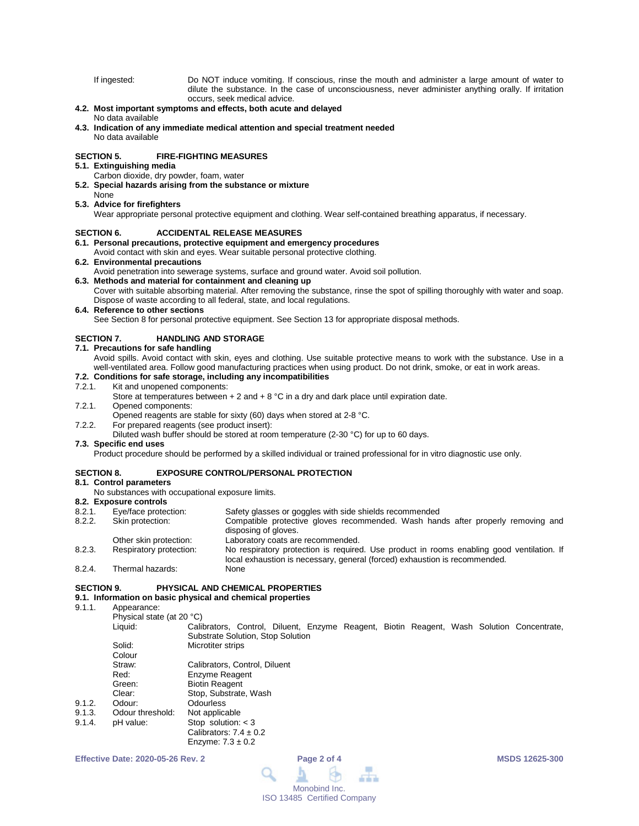If ingested: Do NOT induce vomiting. If conscious, rinse the mouth and administer a large amount of water to dilute the substance. In the case of unconsciousness, never administer anything orally. If irritation occurs, seek medical advice.

# **4.2. Most important symptoms and effects, both acute and delayed**

#### No data available

**4.3. Indication of any immediate medical attention and special treatment needed** No data available

#### **SECTION 5. FIRE-FIGHTING MEASURES**

## **5.1. Extinguishing media**

- Carbon dioxide, dry powder, foam, water
- **5.2. Special hazards arising from the substance or mixture**

#### None **5.3. Advice for firefighters**

Wear appropriate personal protective equipment and clothing. Wear self-contained breathing apparatus, if necessary.

#### **SECTION 6. ACCIDENTAL RELEASE MEASURES**

# **6.1. Personal precautions, protective equipment and emergency procedures**

#### Avoid contact with skin and eyes. Wear suitable personal protective clothing.

#### **6.2. Environmental precautions**

Avoid penetration into sewerage systems, surface and ground water. Avoid soil pollution.

### **6.3. Methods and material for containment and cleaning up**

Cover with suitable absorbing material. After removing the substance, rinse the spot of spilling thoroughly with water and soap. Dispose of waste according to all federal, state, and local regulations.

#### **6.4. Reference to other sections**

See Section 8 for personal protective equipment. See Section 13 for appropriate disposal methods.

### **SECTION 7. HANDLING AND STORAGE**

## **7.1. Precautions for safe handling**

Avoid spills. Avoid contact with skin, eyes and clothing. Use suitable protective means to work with the substance. Use in a well-ventilated area. Follow good manufacturing practices when using product. Do not drink, smoke, or eat in work areas.

# **7.2. Conditions for safe storage, including any incompatibilities**

### 7.2.1. Kit and unopened components:

- Store at temperatures between  $+ 2$  and  $+ 8$  °C in a dry and dark place until expiration date.
- 7.2.1. Opened components:
- Opened reagents are stable for sixty (60) days when stored at 2-8 °C.
- 7.2.2. For prepared reagents (see product insert):

#### Diluted wash buffer should be stored at room temperature (2-30 °C) for up to 60 days.

# **7.3. Specific end uses**

Product procedure should be performed by a skilled individual or trained professional for in vitro diagnostic use only.

#### **SECTION 8. EXPOSURE CONTROL/PERSONAL PROTECTION**

#### **8.1. Control parameters**

No substances with occupational exposure limits.

- **8.2. Exposure controls** 8.2.1. Eye/face protection: Safety glasses or goggles with side shields recommended<br>8.2.2. Skin protection: Compatible protective gloves recommended. Wash han
- Compatible protective gloves recommended. Wash hands after properly removing and disposing of gloves.
- Other skin protection: Laboratory coats are recommended.<br>
Respiratory protection: No respiratory protection is required 8.2.3. Respiratory protection: No respiratory protection is required. Use product in rooms enabling good ventilation. If local exhaustion is necessary, general (forced) exhaustion is recommended. 8.2.4. Thermal hazards: None

#### **SECTION 9. PHYSICAL AND CHEMICAL PROPERTIES**

## **9.1. Information on basic physical and chemical properties**

Enzyme:  $7.3 \pm 0.2$ 

9.1.1. Appearance:

Physical state (at 20 °C)<br>Liquid: Cali

Calibrators, Control, Diluent, Enzyme Reagent, Biotin Reagent, Wash Solution Concentrate, Substrate Solution, Stop Solution Solid: Microtiter strips

|        | Colour           |                               |
|--------|------------------|-------------------------------|
|        | Straw:           | Calibrators, Control, Diluent |
|        | Red:             | Enzyme Reagent                |
|        | Green:           | <b>Biotin Reagent</b>         |
|        | Clear:           | Stop, Substrate, Wash         |
| 9.1.2. | Odour:           | <b>Odourless</b>              |
| 9.1.3. | Odour threshold: | Not applicable                |
| 9.1.4. | pH value:        | Stop solution: $<$ 3          |
|        |                  | Calibrators: $7.4 \pm 0.2$    |

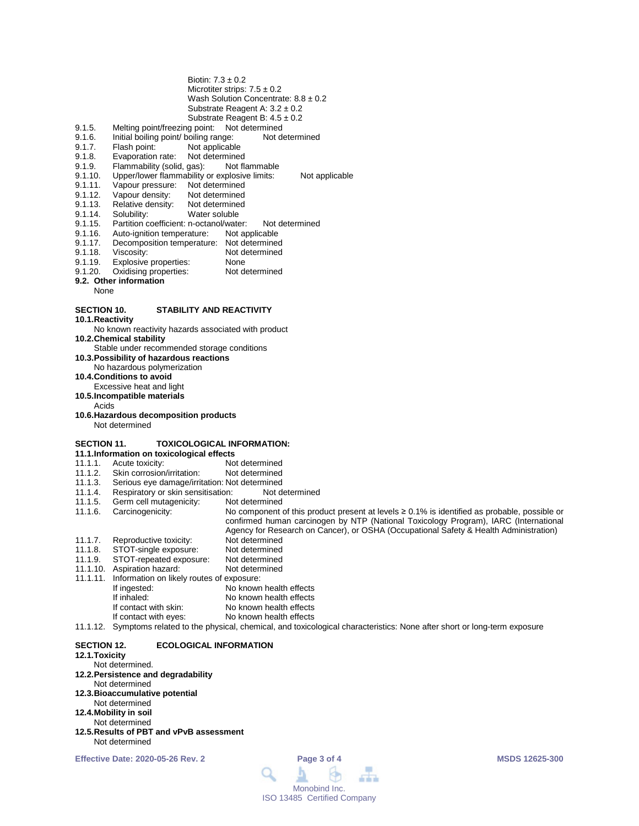| Biotin: $7.3 \pm 0.2$<br>Microtiter strips: $7.5 \pm 0.2$<br>Wash Solution Concentrate: $8.8 \pm 0.2$<br>Substrate Reagent A: $3.2 \pm 0.2$<br>Substrate Reagent B: $4.5 \pm 0.2$<br>Melting point/freezing point:<br>9.1.5.<br>Not determined<br>9.1.6.<br>Initial boiling point/ boiling range:<br>Not determined<br>9.1.7.<br>Flash point:<br>Not applicable<br>Evaporation rate:<br>Not determined<br>9.1.8.<br>9.1.9.<br>Flammability (solid, gas):<br>Not flammable<br>Upper/lower flammability or explosive limits:<br>9.1.10.<br>Not applicable<br>Vapour pressure:<br>Not determined<br>9.1.11.<br>Vapour density:<br>Not determined<br>9.1.12.<br>Relative density:<br>9.1.13.<br>Not determined<br>9.1.14.<br>Solubility:<br>Water soluble<br>9.1.15.<br>Partition coefficient: n-octanol/water:<br>Not determined<br>9.1.16.<br>Auto-ignition temperature:<br>Not applicable<br>Decomposition temperature: Not determined<br>9.1.17.<br>Viscosity:<br>9.1.18.<br>Not determined<br>Explosive properties:<br>9.1.19.<br>None<br>Oxidising properties:<br>9.1.20.<br>Not determined<br>9.2. Other information<br>None |
|---------------------------------------------------------------------------------------------------------------------------------------------------------------------------------------------------------------------------------------------------------------------------------------------------------------------------------------------------------------------------------------------------------------------------------------------------------------------------------------------------------------------------------------------------------------------------------------------------------------------------------------------------------------------------------------------------------------------------------------------------------------------------------------------------------------------------------------------------------------------------------------------------------------------------------------------------------------------------------------------------------------------------------------------------------------------------------------------------------------------------------|
| <b>SECTION 10.</b><br><b>STABILITY AND REACTIVITY</b>                                                                                                                                                                                                                                                                                                                                                                                                                                                                                                                                                                                                                                                                                                                                                                                                                                                                                                                                                                                                                                                                           |
| 10.1. Reactivity<br>No known reactivity hazards associated with product                                                                                                                                                                                                                                                                                                                                                                                                                                                                                                                                                                                                                                                                                                                                                                                                                                                                                                                                                                                                                                                         |
| 10.2. Chemical stability<br>Stable under recommended storage conditions                                                                                                                                                                                                                                                                                                                                                                                                                                                                                                                                                                                                                                                                                                                                                                                                                                                                                                                                                                                                                                                         |
| 10.3. Possibility of hazardous reactions                                                                                                                                                                                                                                                                                                                                                                                                                                                                                                                                                                                                                                                                                                                                                                                                                                                                                                                                                                                                                                                                                        |
| No hazardous polymerization<br>10.4. Conditions to avoid                                                                                                                                                                                                                                                                                                                                                                                                                                                                                                                                                                                                                                                                                                                                                                                                                                                                                                                                                                                                                                                                        |
| Excessive heat and light                                                                                                                                                                                                                                                                                                                                                                                                                                                                                                                                                                                                                                                                                                                                                                                                                                                                                                                                                                                                                                                                                                        |
| 10.5.Incompatible materials<br>Acids                                                                                                                                                                                                                                                                                                                                                                                                                                                                                                                                                                                                                                                                                                                                                                                                                                                                                                                                                                                                                                                                                            |
| 10.6. Hazardous decomposition products                                                                                                                                                                                                                                                                                                                                                                                                                                                                                                                                                                                                                                                                                                                                                                                                                                                                                                                                                                                                                                                                                          |
| Not determined                                                                                                                                                                                                                                                                                                                                                                                                                                                                                                                                                                                                                                                                                                                                                                                                                                                                                                                                                                                                                                                                                                                  |
| <b>SECTION 11.</b><br><b>TOXICOLOGICAL INFORMATION:</b>                                                                                                                                                                                                                                                                                                                                                                                                                                                                                                                                                                                                                                                                                                                                                                                                                                                                                                                                                                                                                                                                         |
| 11.1. Information on toxicological effects<br>11.1.1.<br>Acute toxicity:<br>Not determined                                                                                                                                                                                                                                                                                                                                                                                                                                                                                                                                                                                                                                                                                                                                                                                                                                                                                                                                                                                                                                      |
| Skin corrosion/irritation:<br>11.1.2.<br>Not determined                                                                                                                                                                                                                                                                                                                                                                                                                                                                                                                                                                                                                                                                                                                                                                                                                                                                                                                                                                                                                                                                         |
| Serious eye damage/irritation: Not determined<br>11.1.3.                                                                                                                                                                                                                                                                                                                                                                                                                                                                                                                                                                                                                                                                                                                                                                                                                                                                                                                                                                                                                                                                        |
| Respiratory or skin sensitisation:<br>11.1.4.<br>Not determined                                                                                                                                                                                                                                                                                                                                                                                                                                                                                                                                                                                                                                                                                                                                                                                                                                                                                                                                                                                                                                                                 |
| 11.1.5.<br>Germ cell mutagenicity:<br>Not determined                                                                                                                                                                                                                                                                                                                                                                                                                                                                                                                                                                                                                                                                                                                                                                                                                                                                                                                                                                                                                                                                            |
| 11.1.6.<br>Carcinogenicity:<br>No component of this product present at levels $\geq 0.1\%$ is identified as probable, possible or<br>confirmed human carcinogen by NTP (National Toxicology Program), IARC (International                                                                                                                                                                                                                                                                                                                                                                                                                                                                                                                                                                                                                                                                                                                                                                                                                                                                                                       |
| Agency for Research on Cancer), or OSHA (Occupational Safety & Health Administration)                                                                                                                                                                                                                                                                                                                                                                                                                                                                                                                                                                                                                                                                                                                                                                                                                                                                                                                                                                                                                                           |
| 11.1.7.<br>Reproductive toxicity:<br>Not determined                                                                                                                                                                                                                                                                                                                                                                                                                                                                                                                                                                                                                                                                                                                                                                                                                                                                                                                                                                                                                                                                             |
| STOT-single exposure:<br>Not determined<br>11.1.8.                                                                                                                                                                                                                                                                                                                                                                                                                                                                                                                                                                                                                                                                                                                                                                                                                                                                                                                                                                                                                                                                              |
| 11.1.9.<br>STOT-repeated exposure:<br>Not determined                                                                                                                                                                                                                                                                                                                                                                                                                                                                                                                                                                                                                                                                                                                                                                                                                                                                                                                                                                                                                                                                            |
| 11.1.10. Aspiration hazard:<br>Not determined<br>11.1.11.<br>Information on likely routes of exposure:                                                                                                                                                                                                                                                                                                                                                                                                                                                                                                                                                                                                                                                                                                                                                                                                                                                                                                                                                                                                                          |
| No known health effects<br>If ingested:                                                                                                                                                                                                                                                                                                                                                                                                                                                                                                                                                                                                                                                                                                                                                                                                                                                                                                                                                                                                                                                                                         |
| If inhaled:<br>No known health effects                                                                                                                                                                                                                                                                                                                                                                                                                                                                                                                                                                                                                                                                                                                                                                                                                                                                                                                                                                                                                                                                                          |
| If contact with skin:<br>No known health effects                                                                                                                                                                                                                                                                                                                                                                                                                                                                                                                                                                                                                                                                                                                                                                                                                                                                                                                                                                                                                                                                                |
| If contact with eyes:<br>No known health effects                                                                                                                                                                                                                                                                                                                                                                                                                                                                                                                                                                                                                                                                                                                                                                                                                                                                                                                                                                                                                                                                                |
| Symptoms related to the physical, chemical, and toxicological characteristics: None after short or long-term exposure<br>11.1.12.                                                                                                                                                                                                                                                                                                                                                                                                                                                                                                                                                                                                                                                                                                                                                                                                                                                                                                                                                                                               |
| <b>SECTION 12.</b><br><b>ECOLOGICAL INFORMATION</b><br>12.1. Toxicity                                                                                                                                                                                                                                                                                                                                                                                                                                                                                                                                                                                                                                                                                                                                                                                                                                                                                                                                                                                                                                                           |

## Not determined.

- **12.2.Persistence and degradability**
- Not determined
- **12.3.Bioaccumulative potential**
- Not determined
- **12.4.Mobility in soil** Not determined
- 
- **12.5.Results of PBT and vPvB assessment** Not determined